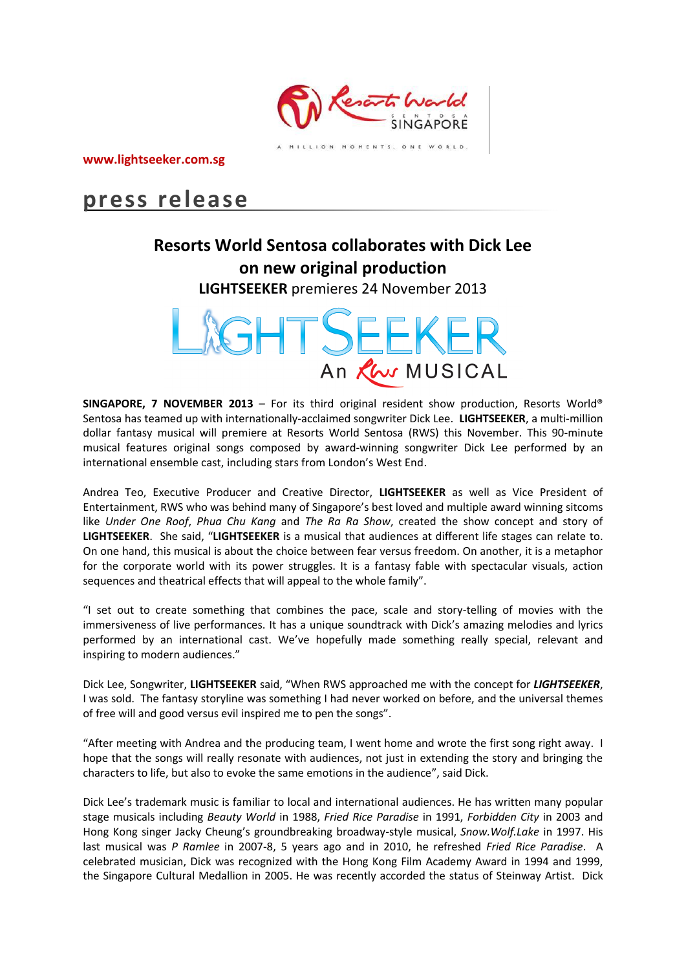

**www.lightseeker.com.sg**

# **press release**

# **Resorts World Sentosa collaborates with Dick Lee on new original production**

**LIGHTSEEKER** premieres 24 November 2013



**SINGAPORE, 7 NOVEMBER 2013** – For its third original resident show production, Resorts World® Sentosa has teamed up with internationally-acclaimed songwriter Dick Lee. **LIGHTSEEKER**, a multi-million dollar fantasy musical will premiere at Resorts World Sentosa (RWS) this November. This 90-minute musical features original songs composed by award-winning songwriter Dick Lee performed by an international ensemble cast, including stars from London's West End.

Andrea Teo, Executive Producer and Creative Director, **LIGHTSEEKER** as well as Vice President of Entertainment, RWS who was behind many of Singapore's best loved and multiple award winning sitcoms like *Under One Roof*, *Phua Chu Kang* and *The Ra Ra Show*, created the show concept and story of **LIGHTSEEKER**. She said, "**LIGHTSEEKER** is a musical that audiences at different life stages can relate to. On one hand, this musical is about the choice between fear versus freedom. On another, it is a metaphor for the corporate world with its power struggles. It is a fantasy fable with spectacular visuals, action sequences and theatrical effects that will appeal to the whole family".

"I set out to create something that combines the pace, scale and story-telling of movies with the immersiveness of live performances. It has a unique soundtrack with Dick's amazing melodies and lyrics performed by an international cast. We've hopefully made something really special, relevant and inspiring to modern audiences."

Dick Lee, Songwriter, **LIGHTSEEKER** said, "When RWS approached me with the concept for *LIGHTSEEKER*, I was sold. The fantasy storyline was something I had never worked on before, and the universal themes of free will and good versus evil inspired me to pen the songs".

"After meeting with Andrea and the producing team, I went home and wrote the first song right away. I hope that the songs will really resonate with audiences, not just in extending the story and bringing the characters to life, but also to evoke the same emotions in the audience", said Dick.

Dick Lee's trademark music is familiar to local and international audiences. He has written many popular stage musicals including *Beauty World* in 1988, *Fried Rice Paradise* in 1991, *Forbidden City* in 2003 and Hong Kong singer Jacky Cheung's groundbreaking broadway-style musical, *Snow.Wolf.Lake* in 1997. His last musical was *P Ramlee* in 2007-8, 5 years ago and in 2010, he refreshed *Fried Rice Paradise*. A celebrated musician, Dick was recognized with the Hong Kong Film Academy Award in 1994 and 1999, the Singapore Cultural Medallion in 2005. He was recently accorded the status of Steinway Artist. Dick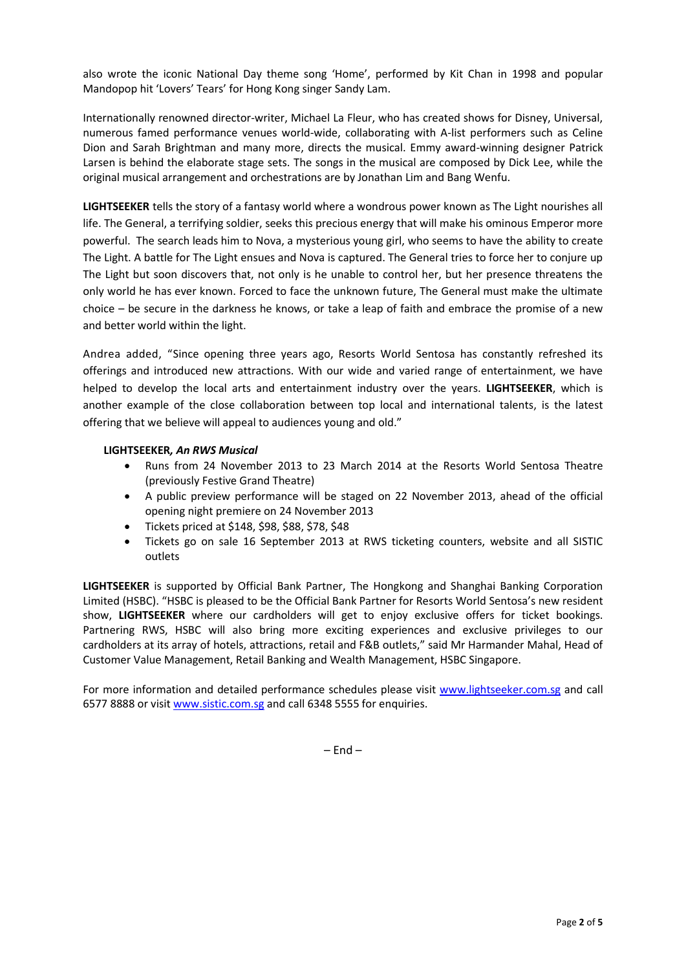also wrote the iconic National Day theme song 'Home', performed by Kit Chan in 1998 and popular Mandopop hit 'Lovers' Tears' for Hong Kong singer Sandy Lam.

Internationally renowned director-writer, Michael La Fleur, who has created shows for Disney, Universal, numerous famed performance venues world-wide, collaborating with A-list performers such as Celine Dion and Sarah Brightman and many more, directs the musical. Emmy award-winning designer Patrick Larsen is behind the elaborate stage sets. The songs in the musical are composed by Dick Lee, while the original musical arrangement and orchestrations are by Jonathan Lim and Bang Wenfu.

**LIGHTSEEKER** tells the story of a fantasy world where a wondrous power known as The Light nourishes all life. The General, a terrifying soldier, seeks this precious energy that will make his ominous Emperor more powerful. The search leads him to Nova, a mysterious young girl, who seems to have the ability to create The Light. A battle for The Light ensues and Nova is captured. The General tries to force her to conjure up The Light but soon discovers that, not only is he unable to control her, but her presence threatens the only world he has ever known. Forced to face the unknown future, The General must make the ultimate choice – be secure in the darkness he knows, or take a leap of faith and embrace the promise of a new and better world within the light.

Andrea added, "Since opening three years ago, Resorts World Sentosa has constantly refreshed its offerings and introduced new attractions. With our wide and varied range of entertainment, we have helped to develop the local arts and entertainment industry over the years. **LIGHTSEEKER**, which is another example of the close collaboration between top local and international talents, is the latest offering that we believe will appeal to audiences young and old."

#### **LIGHTSEEKER***, An RWS Musical*

- Runs from 24 November 2013 to 23 March 2014 at the Resorts World Sentosa Theatre (previously Festive Grand Theatre)
- A public preview performance will be staged on 22 November 2013, ahead of the official opening night premiere on 24 November 2013
- Tickets priced at \$148, \$98, \$88, \$78, \$48
- Tickets go on sale 16 September 2013 at RWS ticketing counters, website and all SISTIC outlets

**LIGHTSEEKER** is supported by Official Bank Partner, The Hongkong and Shanghai Banking Corporation Limited (HSBC). "HSBC is pleased to be the Official Bank Partner for Resorts World Sentosa's new resident show, **LIGHTSEEKER** where our cardholders will get to enjoy exclusive offers for ticket bookings. Partnering RWS, HSBC will also bring more exciting experiences and exclusive privileges to our cardholders at its array of hotels, attractions, retail and F&B outlets," said Mr Harmander Mahal, Head of Customer Value Management, Retail Banking and Wealth Management, HSBC Singapore.

For more information and detailed performance schedules please visit [www.lightseeker.com.sg](http://www.lightseeker.com.sg/) and call 6577 8888 or visi[t www.sistic.com.sg](http://www.sistic.com.sg/) and call 6348 5555 for enquiries.

 $-$  Fnd  $-$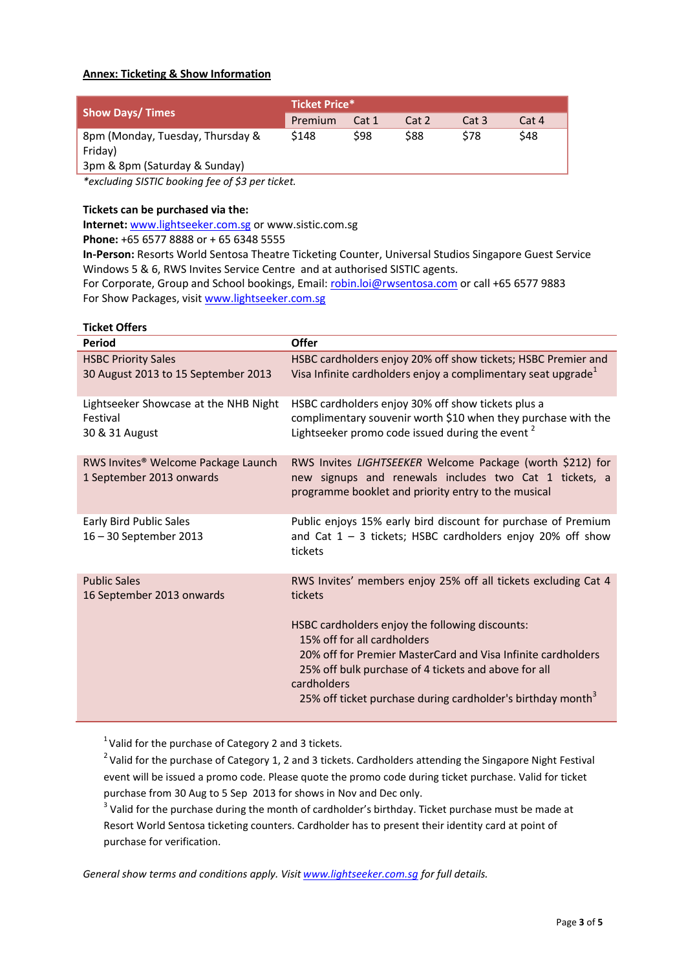## **Annex: Ticketing & Show Information**

| <b>Show Days/Times</b>           | <b>Ticket Price*</b> |       |       |             |       |
|----------------------------------|----------------------|-------|-------|-------------|-------|
|                                  | Premium              | Cat 1 | Cat 2 | Cat 3       | Cat 4 |
| 8pm (Monday, Tuesday, Thursday & | \$148                | S98   | \$88  | <b>\$78</b> | \$48  |
| Friday)                          |                      |       |       |             |       |
| 3pm & 8pm (Saturday & Sunday)    |                      |       |       |             |       |

*\*excluding SISTIC booking fee of \$3 per ticket.*

## **Tickets can be purchased via the:**

**Internet:** [www.lightseeker.com.sg](http://www.lightseeker.com.sg/) or [www.sistic.com.sg](http://www.sistic.com.sg/)

**Phone:** +65 6577 8888 or + 65 6348 5555

**In-Person:** Resorts World Sentosa Theatre Ticketing Counter, Universal Studios Singapore Guest Service Windows 5 & 6, RWS Invites Service Centre and at authorised SISTIC agents.

For Corporate, Group and School bookings, Email: [robin.loi@rwsentosa.com](mailto:robin.loi@rwsentosa.com) or call +65 6577 9883 For Show Packages, visi[t www.lightseeker.com.sg](http://www.lightseeker.com.sg/)

| <b>Ticket Offers</b>                                                        |                                                                                                                                                                                                                                               |
|-----------------------------------------------------------------------------|-----------------------------------------------------------------------------------------------------------------------------------------------------------------------------------------------------------------------------------------------|
| Period                                                                      | <b>Offer</b>                                                                                                                                                                                                                                  |
| <b>HSBC Priority Sales</b><br>30 August 2013 to 15 September 2013           | HSBC cardholders enjoy 20% off show tickets; HSBC Premier and<br>Visa Infinite cardholders enjoy a complimentary seat upgrade <sup>1</sup>                                                                                                    |
| Lightseeker Showcase at the NHB Night<br>Festival<br>30 & 31 August         | HSBC cardholders enjoy 30% off show tickets plus a<br>complimentary souvenir worth \$10 when they purchase with the<br>Lightseeker promo code issued during the event <sup>2</sup>                                                            |
| RWS Invites <sup>®</sup> Welcome Package Launch<br>1 September 2013 onwards | RWS Invites LIGHTSEEKER Welcome Package (worth \$212) for<br>new signups and renewals includes two Cat 1 tickets, a<br>programme booklet and priority entry to the musical                                                                    |
| Early Bird Public Sales<br>16-30 September 2013                             | Public enjoys 15% early bird discount for purchase of Premium<br>and Cat $1 - 3$ tickets; HSBC cardholders enjoy 20% off show<br>tickets                                                                                                      |
| <b>Public Sales</b><br>16 September 2013 onwards                            | RWS Invites' members enjoy 25% off all tickets excluding Cat 4<br>tickets<br>HSBC cardholders enjoy the following discounts:                                                                                                                  |
|                                                                             | 15% off for all cardholders<br>20% off for Premier MasterCard and Visa Infinite cardholders<br>25% off bulk purchase of 4 tickets and above for all<br>cardholders<br>25% off ticket purchase during cardholder's birthday month <sup>3</sup> |

 $1$ Valid for the purchase of Category 2 and 3 tickets.

<sup>2</sup> Valid for the purchase of Category 1, 2 and 3 tickets. Cardholders attending the Singapore Night Festival event will be issued a promo code. Please quote the promo code during ticket purchase. Valid for ticket purchase from 30 Aug to 5 Sep 2013 for shows in Nov and Dec only.

 $3$  Valid for the purchase during the month of cardholder's birthday. Ticket purchase must be made at Resort World Sentosa ticketing counters. Cardholder has to present their identity card at point of purchase for verification.

*General show terms and conditions apply. Visit [www.lightseeker.com.sg](http://www.lightseeker.com.sg/) for full details.*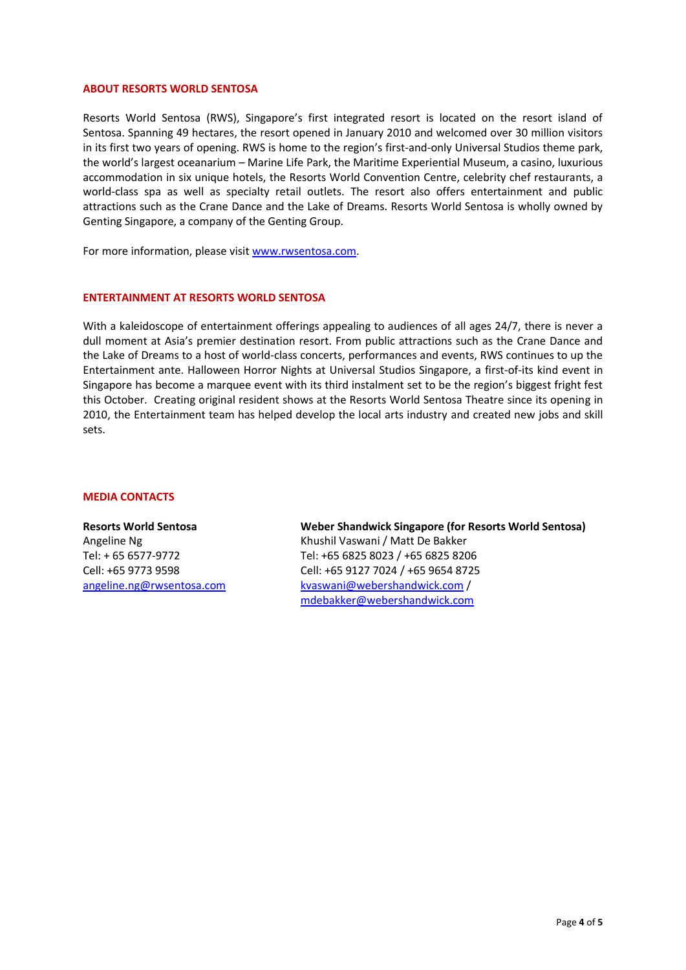#### **ABOUT RESORTS WORLD SENTOSA**

Resorts World Sentosa (RWS), Singapore's first integrated resort is located on the resort island of Sentosa. Spanning 49 hectares, the resort opened in January 2010 and welcomed over 30 million visitors in its first two years of opening. RWS is home to the region's first-and-only Universal Studios theme park, the world's largest oceanarium – Marine Life Park, the Maritime Experiential Museum, a casino, luxurious accommodation in six unique hotels, the Resorts World Convention Centre, celebrity chef restaurants, a world-class spa as well as specialty retail outlets. The resort also offers entertainment and public attractions such as the Crane Dance and the Lake of Dreams. Resorts World Sentosa is wholly owned by Genting Singapore, a company of the Genting Group.

For more information, please visi[t www.rwsentosa.com.](http://www.rwsentosa.com/)

#### **ENTERTAINMENT AT RESORTS WORLD SENTOSA**

With a kaleidoscope of entertainment offerings appealing to audiences of all ages 24/7, there is never a dull moment at Asia's premier destination resort. From public attractions such as the Crane Dance and the Lake of Dreams to a host of world-class concerts, performances and events, RWS continues to up the Entertainment ante. Halloween Horror Nights at Universal Studios Singapore, a first-of-its kind event in Singapore has become a marquee event with its third instalment set to be the region's biggest fright fest this October. Creating original resident shows at the Resorts World Sentosa Theatre since its opening in 2010, the Entertainment team has helped develop the local arts industry and created new jobs and skill sets.

#### **MEDIA CONTACTS**

**Resorts World Sentosa** Angeline Ng Tel: + 65 6577-9772 Cell: +65 9773 9598 [angeline.ng@rwsentosa.com](mailto:clement.xjng@rwsentosa.com) **Weber Shandwick Singapore (for Resorts World Sentosa)**  Khushil Vaswani / Matt De Bakker Tel: +65 6825 8023 / +65 6825 8206 Cell: +65 9127 7024 / +65 9654 8725 [kvaswani@webershandwick.com](mailto:kvaswani@webershandwick.com) / [mdebakker@webershandwick.com](mailto:mdebakker@webershandwick.com)